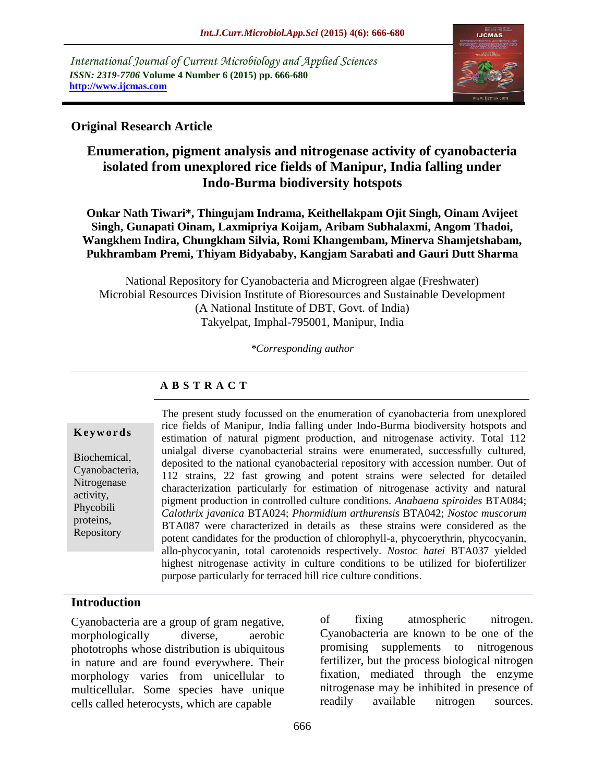*International Journal of Current Microbiology and Applied Sciences ISSN: 2319-7706* **Volume 4 Number 6 (2015) pp. 666-680 http://www.ijcmas.com** 



# **Original Research Article**

# **Enumeration, pigment analysis and nitrogenase activity of cyanobacteria isolated from unexplored rice fields of Manipur, India falling under Indo-Burma biodiversity hotspots**

**Onkar Nath Tiwari\*, Thingujam Indrama, Keithellakpam Ojit Singh, Oinam Avijeet Singh, Gunapati Oinam, Laxmipriya Koijam, Aribam Subhalaxmi, Angom Thadoi, Wangkhem Indira, Chungkham Silvia, Romi Khangembam, Minerva Shamjetshabam, Pukhrambam Premi, Thiyam Bidyababy, Kangjam Sarabati and Gauri Dutt Sharma**

National Repository for Cyanobacteria and Microgreen algae (Freshwater) Microbial Resources Division Institute of Bioresources and Sustainable Development (A National Institute of DBT, Govt. of India) Takyelpat, Imphal-795001, Manipur, India

*\*Corresponding author*

# **A B S T R A C T**

#### **K e y w o r d s**

Biochemical, Cyanobacteria, Nitrogenase activity, Phycobili proteins, Repository

The present study focussed on the enumeration of cyanobacteria from unexplored rice fields of Manipur, India falling under Indo-Burma biodiversity hotspots and estimation of natural pigment production, and nitrogenase activity. Total 112 unialgal diverse cyanobacterial strains were enumerated, successfully cultured, deposited to the national cyanobacterial repository with accession number. Out of 112 strains, 22 fast growing and potent strains were selected for detailed characterization particularly for estimation of nitrogenase activity and natural pigment production in controlled culture conditions. *Anabaena spiroides* BTA084; *Calothrix javanica* BTA024; *Phormidium arthurensis* BTA042; *Nostoc muscorum*  BTA087 were characterized in details as these strains were considered as the potent candidates for the production of chlorophyll-a, phycoerythrin, phycocyanin, allo-phycocyanin, total carotenoids respectively. *Nostoc hatei* BTA037 yielded highest nitrogenase activity in culture conditions to be utilized for biofertilizer purpose particularly for terraced hill rice culture conditions.

## **Introduction**

Cyanobacteria are a group of gram negative, morphologically diverse, aerobic phototrophs whose distribution is ubiquitous in nature and are found everywhere. Their morphology varies from unicellular to multicellular. Some species have unique cells called heterocysts, which are capable

of fixing atmospheric nitrogen. Cyanobacteria are known to be one of the promising supplements to nitrogenous fertilizer, but the process biological nitrogen fixation, mediated through the enzyme nitrogenase may be inhibited in presence of readily available nitrogen sources.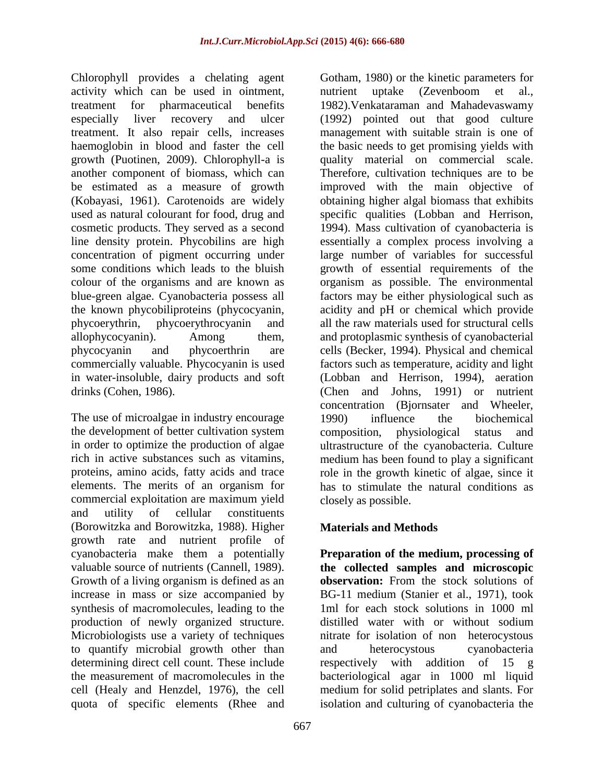Chlorophyll provides a chelating agent activity which can be used in ointment, treatment for pharmaceutical benefits especially liver recovery and ulcer treatment. It also repair cells, increases haemoglobin in blood and faster the cell growth (Puotinen, 2009). Chlorophyll-a is another component of biomass, which can be estimated as a measure of growth (Kobayasi, 1961). Carotenoids are widely used as natural colourant for food, drug and cosmetic products. They served as a second line density protein. Phycobilins are high concentration of pigment occurring under some conditions which leads to the bluish colour of the organisms and are known as blue-green algae. Cyanobacteria possess all the known phycobiliproteins (phycocyanin, phycoerythrin, phycoerythrocyanin and allophycocyanin). Among them, phycocyanin and phycoerthrin are commercially valuable. Phycocyanin is used in water-insoluble, dairy products and soft drinks (Cohen, 1986).

The use of microalgae in industry encourage the development of better cultivation system in order to optimize the production of algae rich in active substances such as vitamins, proteins, amino acids, fatty acids and trace elements. The merits of an organism for commercial exploitation are maximum yield and utility of cellular constituents (Borowitzka and Borowitzka, 1988). Higher growth rate and nutrient profile of cyanobacteria make them a potentially valuable source of nutrients (Cannell, 1989). Growth of a living organism is defined as an increase in mass or size accompanied by synthesis of macromolecules, leading to the production of newly organized structure. Microbiologists use a variety of techniques to quantify microbial growth other than determining direct cell count. These include the measurement of macromolecules in the cell (Healy and Henzdel, 1976), the cell quota of specific elements (Rhee and

Gotham, 1980) or the kinetic parameters for nutrient uptake (Zevenboom et al., 1982).Venkataraman and Mahadevaswamy (1992) pointed out that good culture management with suitable strain is one of the basic needs to get promising yields with quality material on commercial scale. Therefore, cultivation techniques are to be improved with the main objective of obtaining higher algal biomass that exhibits specific qualities (Lobban and Herrison, 1994). Mass cultivation of cyanobacteria is essentially a complex process involving a large number of variables for successful growth of essential requirements of the organism as possible. The environmental factors may be either physiological such as acidity and pH or chemical which provide all the raw materials used for structural cells and protoplasmic synthesis of cyanobacterial cells (Becker, 1994). Physical and chemical factors such as temperature, acidity and light (Lobban and Herrison, 1994), aeration (Chen and Johns, 1991) or nutrient concentration (Bjornsater and Wheeler, 1990) influence the biochemical composition, physiological status and ultrastructure of the cyanobacteria. Culture medium has been found to play a significant role in the growth kinetic of algae, since it has to stimulate the natural conditions as closely as possible.

# **Materials and Methods**

**Preparation of the medium, processing of the collected samples and microscopic observation:** From the stock solutions of BG-11 medium (Stanier et al., 1971), took 1ml for each stock solutions in 1000 ml distilled water with or without sodium nitrate for isolation of non heterocystous and heterocystous cyanobacteria respectively with addition of 15 g bacteriological agar in 1000 ml liquid medium for solid petriplates and slants. For isolation and culturing of cyanobacteria the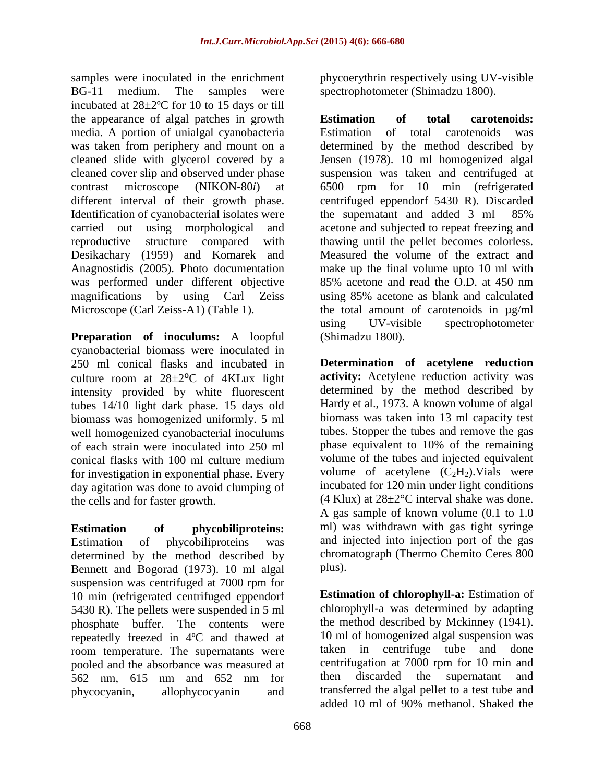samples were inoculated in the enrichment BG-11 medium. The samples were incubated at 28±2ºC for 10 to 15 days or till the appearance of algal patches in growth media. A portion of unialgal cyanobacteria was taken from periphery and mount on a cleaned slide with glycerol covered by a cleaned cover slip and observed under phase contrast microscope (NIKON-80*i*) at different interval of their growth phase. Identification of cyanobacterial isolates were carried out using morphological and reproductive structure compared with Desikachary (1959) and Komarek and Anagnostidis (2005). Photo documentation was performed under different objective magnifications by using Carl Zeiss Microscope (Carl Zeiss-A1) (Table 1).

**Preparation of inoculums:** A loopful cyanobacterial biomass were inoculated in 250 ml conical flasks and incubated in culture room at  $28 \pm 2^{\circ}$ C of 4KLux light intensity provided by white fluorescent tubes 14/10 light dark phase. 15 days old biomass was homogenized uniformly. 5 ml well homogenized cyanobacterial inoculums of each strain were inoculated into 250 ml conical flasks with 100 ml culture medium for investigation in exponential phase. Every day agitation was done to avoid clumping of the cells and for faster growth.

**Estimation of phycobiliproteins:**  Estimation of phycobiliproteins was determined by the method described by Bennett and Bogorad (1973). 10 ml algal suspension was centrifuged at 7000 rpm for 10 min (refrigerated centrifuged eppendorf 5430 R). The pellets were suspended in 5 ml phosphate buffer. The contents were repeatedly freezed in 4ºC and thawed at room temperature. The supernatants were pooled and the absorbance was measured at 562 nm, 615 nm and 652 nm for phycocyanin, allophycocyanin and

phycoerythrin respectively using UV-visible spectrophotometer (Shimadzu 1800).

**Estimation of total carotenoids:** Estimation of total carotenoids was determined by the method described by Jensen (1978). 10 ml homogenized algal suspension was taken and centrifuged at 6500 rpm for 10 min (refrigerated centrifuged eppendorf 5430 R). Discarded the supernatant and added 3 ml 85% acetone and subjected to repeat freezing and thawing until the pellet becomes colorless. Measured the volume of the extract and make up the final volume upto 10 ml with 85% acetone and read the O.D. at 450 nm using 85% acetone as blank and calculated the total amount of carotenoids in µg/ml using UV-visible spectrophotometer (Shimadzu 1800).

**Determination of acetylene reduction activity:** Acetylene reduction activity was determined by the method described by Hardy et al., 1973. A known volume of algal biomass was taken into 13 ml capacity test tubes. Stopper the tubes and remove the gas phase equivalent to 10% of the remaining volume of the tubes and injected equivalent volume of acetylene  $(C_2H_2)$ . Vials were incubated for 120 min under light conditions (4 Klux) at  $28 \pm 2^{\circ}$ C interval shake was done. A gas sample of known volume (0.1 to 1.0 ml) was withdrawn with gas tight syringe and injected into injection port of the gas chromatograph (Thermo Chemito Ceres 800 plus).

**Estimation of chlorophyll-a:** Estimation of chlorophyll-a was determined by adapting the method described by Mckinney (1941). 10 ml of homogenized algal suspension was taken in centrifuge tube and done centrifugation at 7000 rpm for 10 min and then discarded the supernatant and transferred the algal pellet to a test tube and added 10 ml of 90% methanol. Shaked the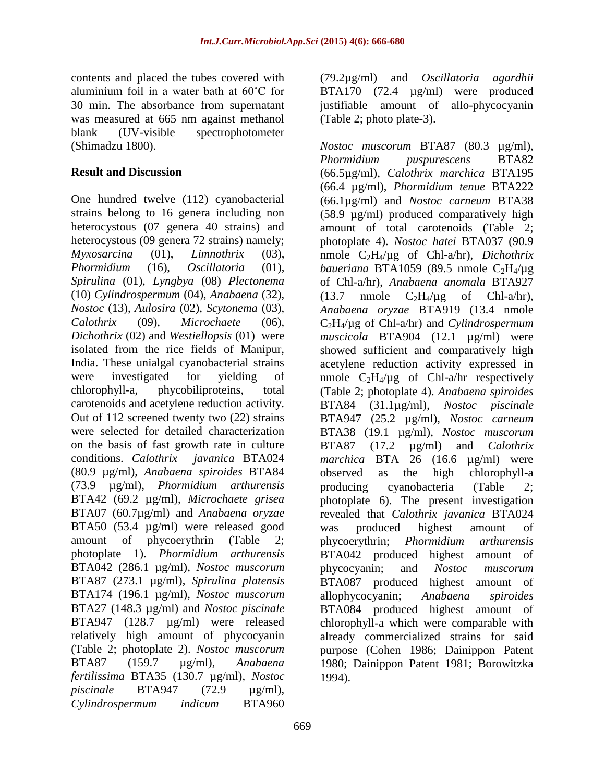contents and placed the tubes covered with aluminium foil in a water bath at 60˚C for 30 min. The absorbance from supernatant was measured at 665 nm against methanol blank (UV-visible spectrophotometer (Shimadzu 1800).

# **Result and Discussion**

One hundred twelve (112) cyanobacterial strains belong to 16 genera including non heterocystous (07 genera 40 strains) and heterocystous (09 genera 72 strains) namely; *Myxosarcina* (01), *Limnothrix* (03), *Phormidium* (16), *Oscillatoria* (01), *Spirulina* (01), *Lyngbya* (08) *Plectonema* (10) *Cylindrospermum* (04), *Anabaena* (32), *Nostoc* (13), *Aulosira* (02), *Scytonema* (03), *Calothrix* (09), *Microchaete* (06), *Dichothrix* (02) and *Westiellopsis* (01) were isolated from the rice fields of Manipur, India. These unialgal cyanobacterial strains were investigated for yielding of chlorophyll-a, phycobiliproteins, total carotenoids and acetylene reduction activity. Out of 112 screened twenty two (22) strains were selected for detailed characterization on the basis of fast growth rate in culture conditions. *Calothrix javanica* BTA024 (80.9 µg/ml), *Anabaena spiroides* BTA84 (73.9 µg/ml), *Phormidium arthurensis* BTA42 (69.2 µg/ml), *Microchaete grisea* BTA07 (60.7µg/ml) and *Anabaena oryzae* BTA50 (53.4 µg/ml) were released good amount of phycoerythrin (Table 2; photoplate 1). *Phormidium arthurensis* BTA042 (286.1 µg/ml), *Nostoc muscorum* BTA87 (273.1 µg/ml), *Spirulina platensis* BTA174 (196.1 µg/ml), *Nostoc muscorum* BTA27 (148.3 µg/ml) and *Nostoc piscinale* BTA947 (128.7 µg/ml) were released relatively high amount of phycocyanin (Table 2; photoplate 2). *Nostoc muscorum*  BTA87 (159.7 µg/ml), *Anabaena fertilissima* BTA35 (130.7 µg/ml), *Nostoc piscinale* BTA947 (72.9 µg/ml), *Cylindrospermum indicum* BTA960

669

(79.2µg/ml) and *Oscillatoria agardhii* BTA170 (72.4 µg/ml) were produced justifiable amount of allo-phycocyanin (Table 2; photo plate-3).

*Nostoc muscorum* BTA87 (80.3 µg/ml), *Phormidium puspurescens* BTA82 (66.5µg/ml), *Calothrix marchica* BTA195 (66.4 µg/ml), *Phormidium tenue* BTA222 (66.1µg/ml) and *Nostoc carneum* BTA38 (58.9 µg/ml) produced comparatively high amount of total carotenoids (Table 2; photoplate 4). *Nostoc hatei* BTA037 (90.9 nmole C2H4/µg of Chl-a/hr), *Dichothrix baueriana* BTA1059 (89.5 nmole  $C_2H_4/\mu$ g of Chl-a/hr), *Anabaena anomala* BTA927  $(13.7 \quad \text{mmole} \quad C_2H_4/\mu\text{g} \quad \text{of} \quad \text{Chl-a/hr}),$ *Anabaena oryzae* BTA919 (13.4 nmole C2H4/µg of Chl-a/hr) and *Cylindrospermum muscicola* BTA904 (12.1 µg/ml) were showed sufficient and comparatively high acetylene reduction activity expressed in nmole  $C_2H_4/\mu g$  of Chl-a/hr respectively (Table 2; photoplate 4). *Anabaena spiroides* BTA84 (31.1µg/ml), *Nostoc piscinale* BTA947 (25.2 µg/ml), *Nostoc carneum* BTA38 (19.1 µg/ml), *Nostoc muscorum* BTA87 (17.2 µg/ml) and *Calothrix marchica* BTA 26 (16.6 µg/ml) were observed as the high chlorophyll-a producing cyanobacteria (Table 2; photoplate 6). The present investigation revealed that *Calothrix javanica* BTA024 was produced highest amount of phycoerythrin; *Phormidium arthurensis* BTA042 produced highest amount of phycocyanin; and *Nostoc muscorum* BTA087 produced highest amount of allophycocyanin; *Anabaena spiroides* BTA084 produced highest amount of chlorophyll-a which were comparable with already commercialized strains for said purpose (Cohen 1986; Dainippon Patent 1980; Dainippon Patent 1981; Borowitzka 1994).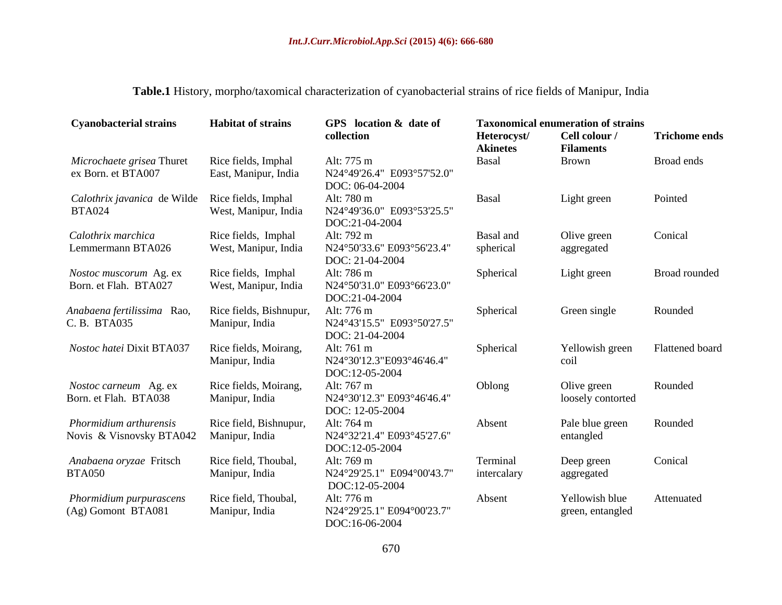**Table.1** History, morpho/taxomical characterization of cyanobacterial strains of rice fields of Manipur, India

| <b>Cyanobacterial strains</b> | <b>Habitat of strains</b> | GPS location & date of                        | <b>Taxonomical enumeration of strains</b> |                                   |                      |  |
|-------------------------------|---------------------------|-----------------------------------------------|-------------------------------------------|-----------------------------------|----------------------|--|
|                               |                           | collection                                    | Heterocyst/<br><b>Akinetes</b>            | Cell colour /<br><b>Filaments</b> | <b>Trichome ends</b> |  |
| Microchaete grisea Thuret     | Rice fields, Imphal       | Alt: 775 m                                    | <b>Basal</b>                              | <b>Brown</b>                      | Broad ends           |  |
| ex Born. et BTA007            | East, Manipur, India      | N24°49'26.4" E093°57'52.0"<br>DOC: 06-04-2004 |                                           |                                   |                      |  |
| Calothrix javanica de Wilde   | Rice fields, Imphal       | Alt: 780 m                                    | Basal                                     | Light green                       | Pointed              |  |
| <b>BTA024</b>                 | West, Manipur, India      | N24°49'36.0" E093°53'25.5"<br>DOC:21-04-2004  |                                           |                                   |                      |  |
| Calothrix marchica            | Rice fields, Imphal       | Alt: 792 m                                    | Basal and                                 | Olive green                       | Conical              |  |
| Lemmermann BTA026             | West, Manipur, India      | N24°50'33.6" E093°56'23.4"<br>DOC: 21-04-2004 | spherical                                 | aggregated                        |                      |  |
| Nostoc muscorum Ag. ex        | Rice fields, Imphal       | Alt: 786 m                                    | Spherical                                 | Light green                       | <b>Broad rounded</b> |  |
| Born. et Flah. BTA027         | West, Manipur, India      | N24°50'31.0" E093°66'23.0"<br>DOC:21-04-2004  |                                           |                                   |                      |  |
| Anabaena fertilissima Rao,    | Rice fields, Bishnupur,   | Alt: 776 m                                    | Spherical                                 | Green single                      | Rounded              |  |
| C.B. BTA035                   | Manipur, India            | N24°43'15.5" E093°50'27.5"                    |                                           |                                   |                      |  |
|                               |                           | DOC: 21-04-2004                               |                                           |                                   |                      |  |
| Nostoc hatei Dixit BTA037     | Rice fields, Moirang,     | Alt: 761 m                                    | Spherical                                 | Yellowish green                   | Flattened board      |  |
|                               | Manipur, India            | N24°30'12.3"E093°46'46.4"                     |                                           | coil                              |                      |  |
|                               |                           | DOC:12-05-2004                                |                                           |                                   |                      |  |
| Nostoc carneum Ag. ex         | Rice fields, Moirang,     | Alt: 767 m                                    | Oblong                                    | Olive green                       | Rounded              |  |
| Born. et Flah. BTA038         | Manipur, India            | N24°30'12.3" E093°46'46.4"                    |                                           | loosely contorted                 |                      |  |
|                               |                           | DOC: 12-05-2004                               |                                           |                                   |                      |  |
| Phormidium arthurensis        | Rice field, Bishnupur,    | Alt: 764 m                                    | Absent                                    | Pale blue green                   | Rounded              |  |
| Novis & Visnovsky BTA042      | Manipur, India            | N24°32'21.4" E093°45'27.6"                    |                                           | entangled                         |                      |  |
|                               |                           | DOC:12-05-2004                                |                                           |                                   |                      |  |
| Anabaena oryzae Fritsch       | Rice field, Thoubal,      | Alt: 769 m                                    | Terminal                                  | Deep green                        | Conical              |  |
| <b>BTA050</b>                 | Manipur, India            | N24°29'25.1" E094°00'43.7"                    | intercalary                               | aggregated                        |                      |  |
|                               |                           | DOC:12-05-2004                                |                                           |                                   |                      |  |
| Phormidium purpurascens       | Rice field, Thoubal,      | Alt: 776 m                                    | Absent                                    | Yellowish blue                    | Attenuated           |  |
| (Ag) Gomont BTA081            | Manipur, India            | N24°29'25.1" E094°00'23.7"                    |                                           | green, entangled                  |                      |  |
|                               |                           | DOC:16-06-2004                                |                                           |                                   |                      |  |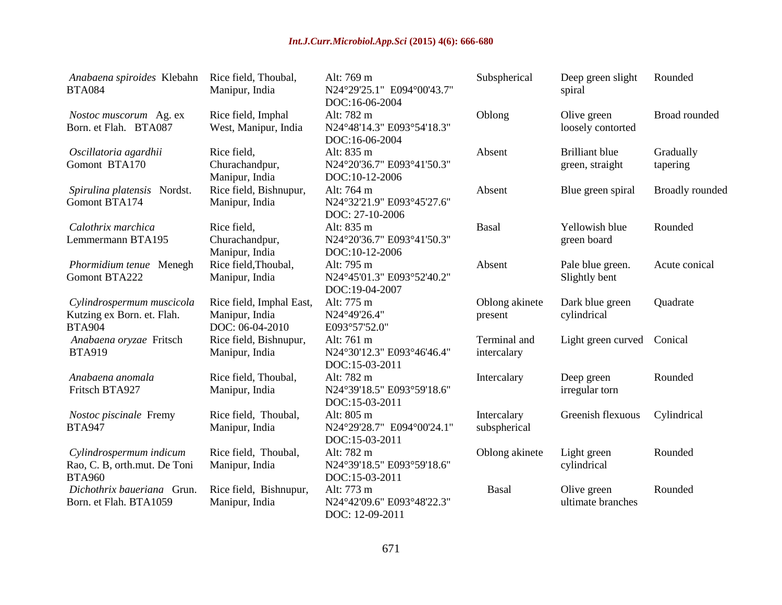| Anabaena spiroides Klebahn<br><b>BTA084</b>                              | Rice field, Thoubal,<br>Manipur, India                        | Alt: 769 m<br>N24°29'25.1" E094°00'43.7"<br>DOC:16-06-2004  | Subspherical                | Deep green slight<br>spiral              | Rounded                |
|--------------------------------------------------------------------------|---------------------------------------------------------------|-------------------------------------------------------------|-----------------------------|------------------------------------------|------------------------|
| Nostoc muscorum Ag. ex<br>Born. et Flah. BTA087                          | Rice field, Imphal<br>West, Manipur, India                    | Alt: 782 m<br>N24°48'14.3" E093°54'18.3"<br>DOC:16-06-2004  | Oblong                      | Olive green<br>loosely contorted         | Broad rounded          |
| Oscillatoria agardhii<br>Gomont BTA170                                   | Rice field,<br>Churachandpur,<br>Manipur, India               | Alt: 835 m<br>N24°20'36.7" E093°41'50.3"<br>DOC:10-12-2006  | Absent                      | <b>Brilliant</b> blue<br>green, straight | Gradually<br>tapering  |
| Spirulina platensis Nordst.<br>Gomont BTA174                             | Rice field, Bishnupur,<br>Manipur, India                      | Alt: 764 m<br>N24°32'21.9" E093°45'27.6"<br>DOC: 27-10-2006 | Absent                      | Blue green spiral                        | <b>Broadly</b> rounded |
| Calothrix marchica<br>Lemmermann BTA195                                  | Rice field,<br>Churachandpur,<br>Manipur, India               | Alt: 835 m<br>N24°20'36.7" E093°41'50.3"<br>DOC:10-12-2006  | Basal                       | Yellowish blue<br>green board            | Rounded                |
| Phormidium tenue Menegh<br>Gomont BTA222                                 | Rice field, Thoubal,<br>Manipur, India                        | Alt: 795 m<br>N24°45'01.3" E093°52'40.2"<br>DOC:19-04-2007  | Absent                      | Pale blue green.<br>Slightly bent        | Acute conical          |
| Cylindrospermum muscicola<br>Kutzing ex Born. et. Flah.<br><b>BTA904</b> | Rice field, Imphal East,<br>Manipur, India<br>DOC: 06-04-2010 | Alt: 775 m<br>N24°49'26.4"<br>E093°57'52.0"                 | Oblong akinete<br>present   | Dark blue green<br>cylindrical           | Quadrate               |
| Anabaena oryzae Fritsch<br><b>BTA919</b>                                 | Rice field, Bishnupur,<br>Manipur, India                      | Alt: 761 m<br>N24°30'12.3" E093°46'46.4"<br>DOC:15-03-2011  | Terminal and<br>intercalary | Light green curved Conical               |                        |
| Anabaena anomala<br>Fritsch BTA927                                       | Rice field, Thoubal,<br>Manipur, India                        | Alt: 782 m<br>N24°39'18.5" E093°59'18.6"<br>DOC:15-03-2011  | Intercalary                 | Deep green<br>irregular torn             | Rounded                |
| Nostoc piscinale Fremy<br><b>BTA947</b>                                  | Rice field, Thoubal,<br>Manipur, India                        | Alt: 805 m<br>N24°29'28.7" E094°00'24.1"<br>DOC:15-03-2011  | Intercalary<br>subspherical | Greenish flexuous                        | Cylindrical            |
| Cylindrospermum indicum<br>Rao, C. B, orth.mut. De Toni<br><b>BTA960</b> | Rice field, Thoubal,<br>Manipur, India                        | Alt: 782 m<br>N24°39'18.5" E093°59'18.6"<br>DOC:15-03-2011  | Oblong akinete              | Light green<br>cylindrical               | Rounded                |
| Dichothrix baueriana Grun.<br>Born. et Flah. BTA1059                     | Rice field, Bishnupur,<br>Manipur, India                      | Alt: 773 m<br>N24°42'09.6" E093°48'22.3"<br>DOC: 12-09-2011 | Basal                       | Olive green<br>ultimate branches         | Rounded                |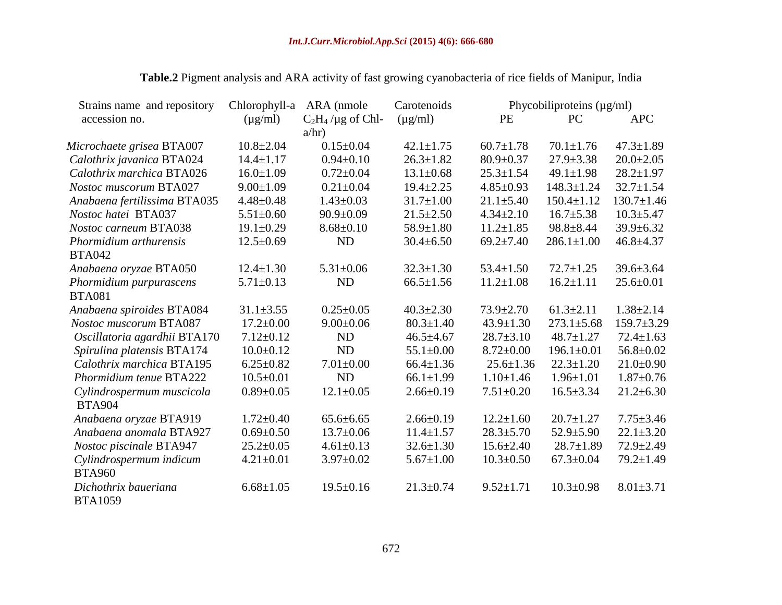| Strains name and repository  | Chlorophyll-a   | ARA (nmole           | Carotenoids     |                 | Phycobiliproteins (µg/ml) |                  |  |
|------------------------------|-----------------|----------------------|-----------------|-----------------|---------------------------|------------------|--|
| accession no.                | $(\mu g/ml)$    | $C_2H_4$ /µg of Chl- | $(\mu g/ml)$    | PE              | PC                        | <b>APC</b>       |  |
|                              |                 | a/hr)                |                 |                 |                           |                  |  |
| Microchaete grisea BTA007    | $10.8 \pm 2.04$ | $0.15 \pm 0.04$      | $42.1 \pm 1.75$ | $60.7 \pm 1.78$ | $70.1 \pm 1.76$           | $47.3 \pm 1.89$  |  |
| Calothrix javanica BTA024    | $14.4 \pm 1.17$ | $0.94 \pm 0.10$      | $26.3 \pm 1.82$ | $80.9 \pm 0.37$ | $27.9 \pm 3.38$           | $20.0 \pm 2.05$  |  |
| Calothrix marchica BTA026    | $16.0 \pm 1.09$ | $0.72 \pm 0.04$      | $13.1 \pm 0.68$ | $25.3 \pm 1.54$ | $49.1 \pm 1.98$           | $28.2 \pm 1.97$  |  |
| Nostoc muscorum BTA027       | $9.00 \pm 1.09$ | $0.21 \pm 0.04$      | $19.4 \pm 2.25$ | $4.85 \pm 0.93$ | $148.3 \pm 1.24$          | $32.7 \pm 1.54$  |  |
| Anabaena fertilissima BTA035 | $4.48 \pm 0.48$ | $1.43 \pm 0.03$      | $31.7 \pm 1.00$ | $21.1 \pm 5.40$ | $150.4 \pm 1.12$          | $130.7 \pm 1.46$ |  |
| Nostoc hatei BTA037          | $5.51 \pm 0.60$ | $90.9 \pm 0.09$      | $21.5 \pm 2.50$ | $4.34 \pm 2.10$ | $16.7 \pm 5.38$           | $10.3 \pm 5.47$  |  |
| Nostoc carneum BTA038        | $19.1 \pm 0.29$ | $8.68 \pm 0.10$      | $58.9 \pm 1.80$ | $11.2 \pm 1.85$ | $98.8 \pm 8.44$           | $39.9 \pm 6.32$  |  |
| Phormidium arthurensis       | $12.5 \pm 0.69$ | <b>ND</b>            | $30.4 \pm 6.50$ | $69.2 \pm 7.40$ | $286.1 \pm 1.00$          | $46.8 \pm 4.37$  |  |
| <b>BTA042</b>                |                 |                      |                 |                 |                           |                  |  |
| Anabaena oryzae BTA050       | $12.4 \pm 1.30$ | $5.31 \pm 0.06$      | $32.3 \pm 1.30$ | $53.4 \pm 1.50$ | $72.7 \pm 1.25$           | $39.6 \pm 3.64$  |  |
| Phormidium purpurascens      | $5.71 \pm 0.13$ | <b>ND</b>            | $66.5 \pm 1.56$ | $11.2 \pm 1.08$ | $16.2 \pm 1.11$           | $25.6 \pm 0.01$  |  |
| <b>BTA081</b>                |                 |                      |                 |                 |                           |                  |  |
| Anabaena spiroides BTA084    | $31.1 \pm 3.55$ | $0.25 \pm 0.05$      | $40.3 \pm 2.30$ | $73.9 \pm 2.70$ | $61.3 \pm 2.11$           | $1.38 \pm 2.14$  |  |
| Nostoc muscorum BTA087       | $17.2 \pm 0.00$ | $9.00 \pm 0.06$      | $80.3 \pm 1.40$ | $43.9 \pm 1.30$ | $273.1 \pm 5.68$          | $159.7 \pm 3.29$ |  |
| Oscillatoria agardhii BTA170 | $7.12 \pm 0.12$ | <b>ND</b>            | $46.5 \pm 4.67$ | $28.7 \pm 3.10$ | $48.7 \pm 1.27$           | $72.4 \pm 1.63$  |  |
| Spirulina platensis BTA174   | $10.0 \pm 0.12$ | <b>ND</b>            | $55.1 \pm 0.00$ | $8.72 \pm 0.00$ | $196.1 \pm 0.01$          | $56.8 \pm 0.02$  |  |
| Calothrix marchica BTA195    | $6.25 \pm 0.82$ | $7.01 \pm 0.00$      | $66.4 \pm 1.36$ | $25.6 \pm 1.36$ | $22.3 \pm 1.20$           | $21.0 \pm 0.90$  |  |
| Phormidium tenue BTA222      | $10.5 \pm 0.01$ | <b>ND</b>            | $66.1 \pm 1.99$ | $1.10 \pm 1.46$ | $1.96 \pm 1.01$           | $1.87 \pm 0.76$  |  |
| Cylindrospermum muscicola    | $0.89 \pm 0.05$ | $12.1 \pm 0.05$      | $2.66 \pm 0.19$ | $7.51 \pm 0.20$ | $16.5 \pm 3.34$           | $21.2 \pm 6.30$  |  |
| <b>BTA904</b>                |                 |                      |                 |                 |                           |                  |  |
| Anabaena oryzae BTA919       | $1.72 \pm 0.40$ | $65.6 \pm 6.65$      | $2.66 \pm 0.19$ | $12.2 \pm 1.60$ | $20.7 \pm 1.27$           | $7.75 \pm 3.46$  |  |
| Anabaena anomala BTA927      | $0.69 \pm 0.50$ | $13.7 \pm 0.06$      | $11.4 \pm 1.57$ | $28.3 \pm 5.70$ | $52.9 \pm 5.90$           | $22.1 \pm 3.20$  |  |
| Nostoc piscinale BTA947      | $25.2 \pm 0.05$ | $4.61 \pm 0.13$      | $32.6 \pm 1.30$ | $15.6 \pm 2.40$ | $28.7 \pm 1.89$           | $72.9 \pm 2.49$  |  |
| Cylindrospermum indicum      | $4.21 \pm 0.01$ | $3.97 \pm 0.02$      | $5.67 \pm 1.00$ | $10.3 \pm 0.50$ | $67.3 \pm 0.04$           | $79.2 \pm 1.49$  |  |
| <b>BTA960</b>                |                 |                      |                 |                 |                           |                  |  |
| Dichothrix baueriana         | $6.68 \pm 1.05$ | $19.5 \pm 0.16$      | $21.3 \pm 0.74$ | $9.52 \pm 1.71$ | $10.3 \pm 0.98$           | $8.01 \pm 3.71$  |  |
| <b>BTA1059</b>               |                 |                      |                 |                 |                           |                  |  |

# **Table.2** Pigment analysis and ARA activity of fast growing cyanobacteria of rice fields of Manipur, India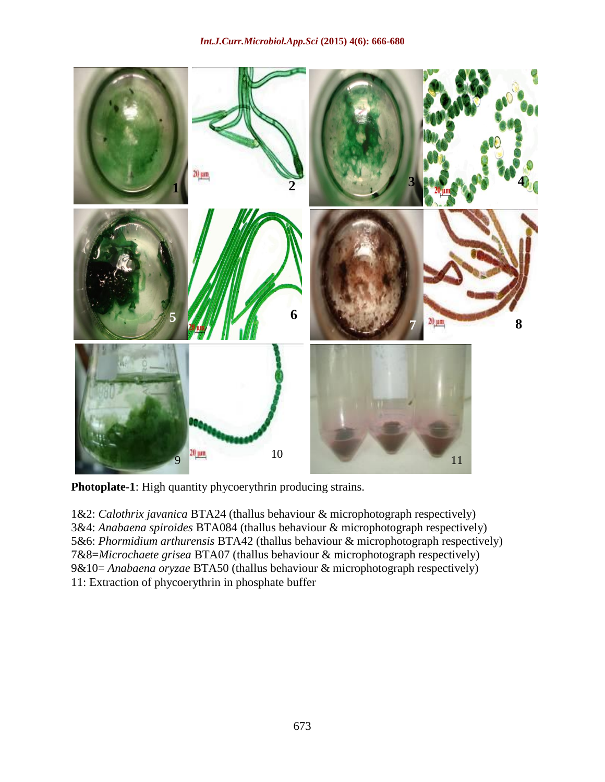

**Photoplate-1**: High quantity phycoerythrin producing strains.

1&2: *Calothrix javanica* BTA24 (thallus behaviour & microphotograph respectively) 3&4: *Anabaena spiroides* BTA084 (thallus behaviour & microphotograph respectively) 5&6: *Phormidium arthurensis* BTA42 (thallus behaviour & microphotograph respectively) 7&8=*Microchaete grisea* BTA07 (thallus behaviour & microphotograph respectively) 9&10= *Anabaena oryzae* BTA50 (thallus behaviour & microphotograph respectively) 11: Extraction of phycoerythrin in phosphate buffer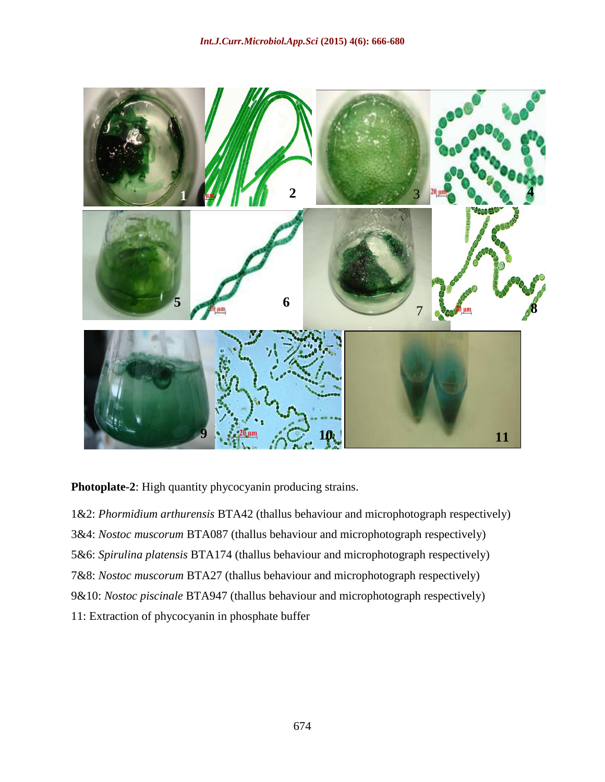

**Photoplate-2**: High quantity phycocyanin producing strains.

1&2: *Phormidium arthurensis* BTA42 (thallus behaviour and microphotograph respectively) 3&4: *Nostoc muscorum* BTA087 (thallus behaviour and microphotograph respectively) 5&6: *Spirulina platensis* BTA174 (thallus behaviour and microphotograph respectively) 7&8: *Nostoc muscorum* BTA27 (thallus behaviour and microphotograph respectively) 9&10: *Nostoc piscinale* BTA947 (thallus behaviour and microphotograph respectively) 11: Extraction of phycocyanin in phosphate buffer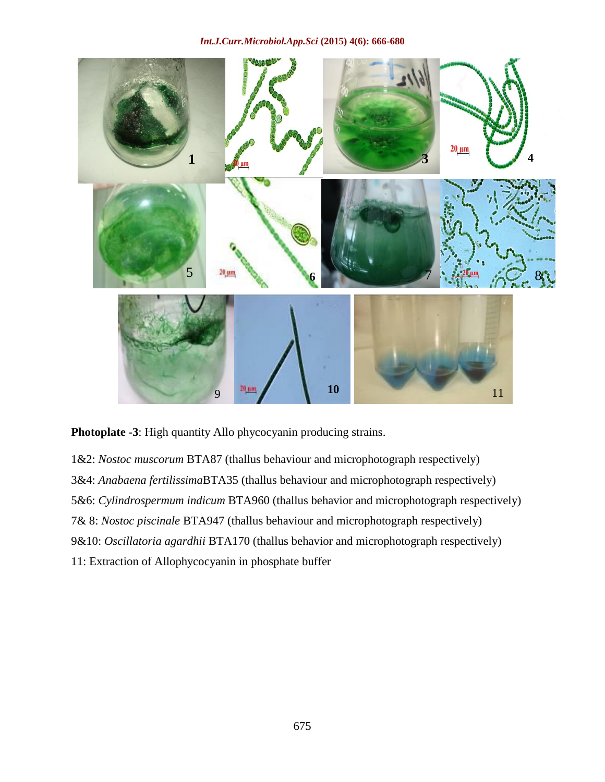

**Photoplate -3**: High quantity Allo phycocyanin producing strains.

1&2: *Nostoc muscorum* BTA87 (thallus behaviour and microphotograph respectively) 3&4: *Anabaena fertilissima*BTA35 (thallus behaviour and microphotograph respectively) 5&6: *Cylindrospermum indicum* BTA960 (thallus behavior and microphotograph respectively) 7& 8: *Nostoc piscinale* BTA947 (thallus behaviour and microphotograph respectively) 9&10: *Oscillatoria agardhii* BTA170 (thallus behavior and microphotograph respectively) 11: Extraction of Allophycocyanin in phosphate buffer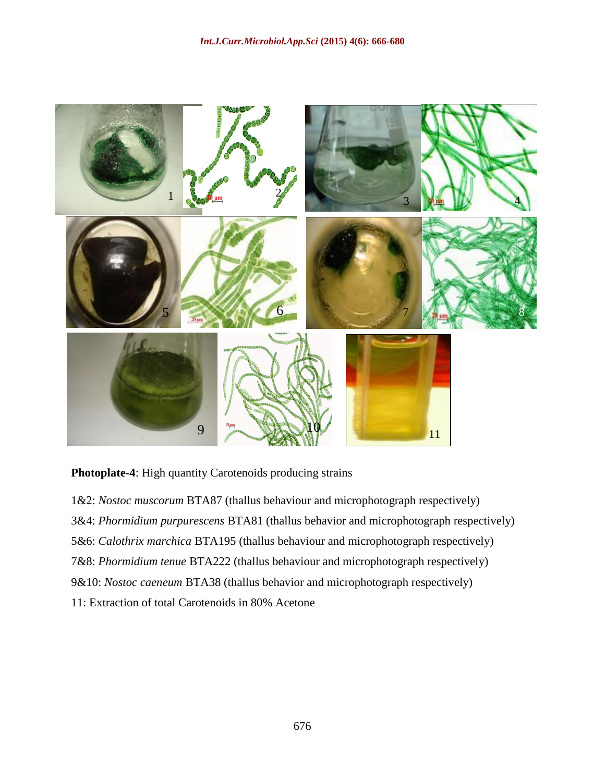

**Photoplate-4**: High quantity Carotenoids producing strains

1&2: *Nostoc muscorum* BTA87 (thallus behaviour and microphotograph respectively) 3&4: *Phormidium purpurescens* BTA81 (thallus behavior and microphotograph respectively) 5&6: *Calothrix marchica* BTA195 (thallus behaviour and microphotograph respectively) 7&8: *Phormidium tenue* BTA222 (thallus behaviour and microphotograph respectively) 9&10: *Nostoc caeneum* BTA38 (thallus behavior and microphotograph respectively) 11: Extraction of total Carotenoids in 80% Acetone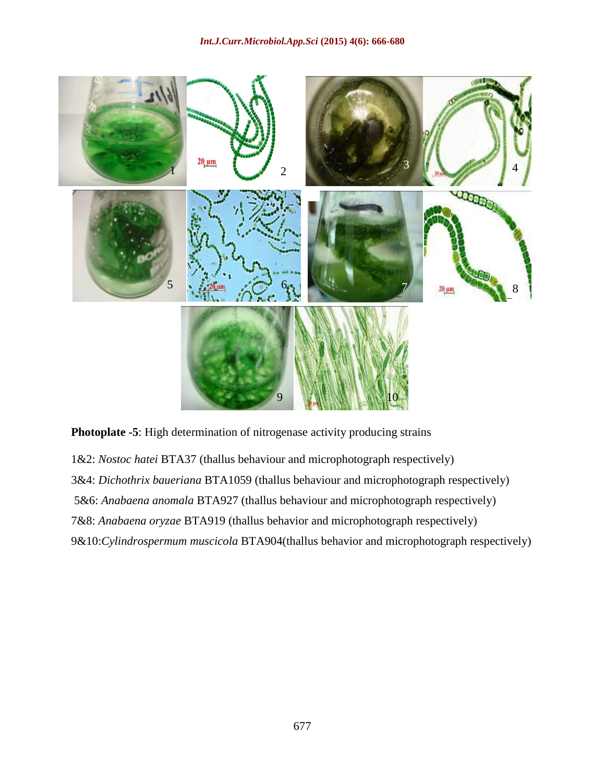

**Photoplate -5**: High determination of nitrogenase activity producing strains

1&2: *Nostoc hatei* BTA37 (thallus behaviour and microphotograph respectively) 3&4: *Dichothrix baueriana* BTA1059 (thallus behaviour and microphotograph respectively) 5&6: *Anabaena anomala* BTA927 (thallus behaviour and microphotograph respectively) 7&8: *Anabaena oryzae* BTA919 (thallus behavior and microphotograph respectively) 9&10:*Cylindrospermum muscicola* BTA904(thallus behavior and microphotograph respectively)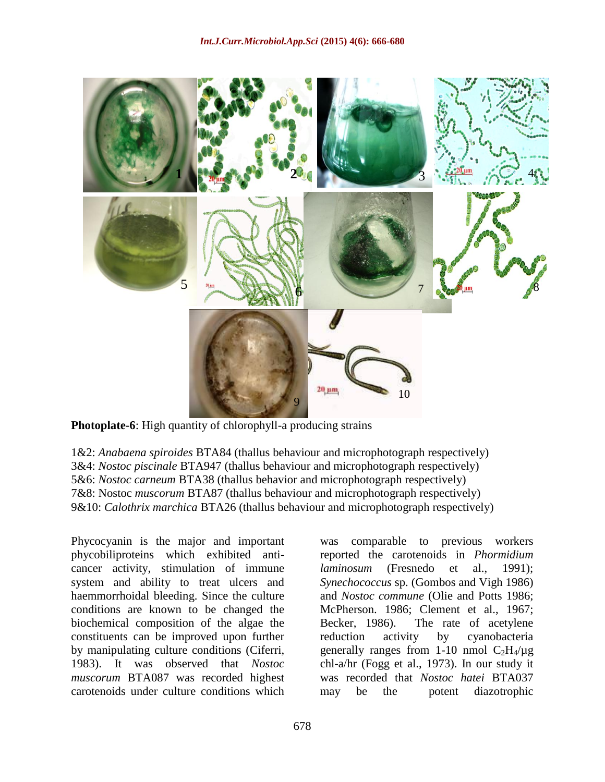

**Photoplate-6**: High quantity of chlorophyll-a producing strains

1&2: *Anabaena spiroides* BTA84 (thallus behaviour and microphotograph respectively) 3&4: *Nostoc piscinale* BTA947 (thallus behaviour and microphotograph respectively) 5&6: *Nostoc carneum* BTA38 (thallus behavior and microphotograph respectively) 7&8: Nostoc *muscorum* BTA87 (thallus behaviour and microphotograph respectively) 9&10: *Calothrix marchica* BTA26 (thallus behaviour and microphotograph respectively)

Phycocyanin is the major and important phycobiliproteins which exhibited anticancer activity, stimulation of immune system and ability to treat ulcers and haemmorrhoidal bleeding. Since the culture conditions are known to be changed the biochemical composition of the algae the constituents can be improved upon further by manipulating culture conditions (Ciferri, 1983). It was observed that *Nostoc muscorum* BTA087 was recorded highest carotenoids under culture conditions which

was comparable to previous workers reported the carotenoids in *Phormidium laminosum* (Fresnedo et al., 1991); *Synechococcus* sp. (Gombos and Vigh 1986) and *Nostoc commune* (Olie and Potts 1986; McPherson. 1986; Clement et al., 1967; Becker, 1986). The rate of acetylene reduction activity by cyanobacteria generally ranges from 1-10 nmol  $C_2H_4/\mu g$ chl-a/hr (Fogg et al., 1973). In our study it was recorded that *Nostoc hatei* BTA037 may be the potent diazotrophic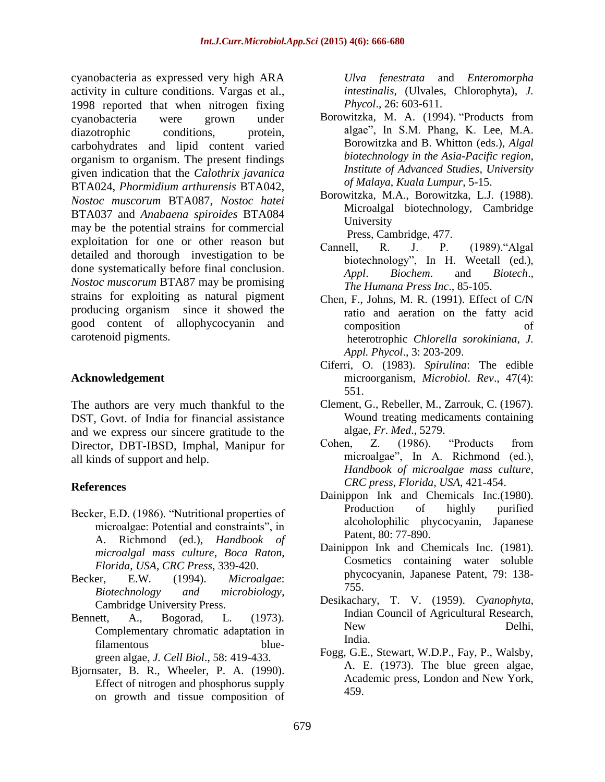cyanobacteria as expressed very high ARA activity in culture conditions. Vargas et al., 1998 reported that when nitrogen fixing cyanobacteria were grown under diazotrophic conditions, protein, carbohydrates and lipid content varied organism to organism. The present findings given indication that the *Calothrix javanica* BTA024, *Phormidium arthurensis* BTA042, *Nostoc muscorum* BTA087, *Nostoc hatei*  BTA037 and *Anabaena spiroides* BTA084 may be the potential strains for commercial exploitation for one or other reason but detailed and thorough investigation to be done systematically before final conclusion. *Nostoc muscorum* BTA87 may be promising strains for exploiting as natural pigment producing organism since it showed the good content of allophycocyanin and carotenoid pigments.

## **Acknowledgement**

The authors are very much thankful to the DST, Govt. of India for financial assistance and we express our sincere gratitude to the Director, DBT-IBSD, Imphal, Manipur for all kinds of support and help.

## **References**

- Becker, E.D. (1986). "Nutritional properties of microalgae: Potential and constraints", in A. Richmond (ed.), *Handbook of microalgal mass culture*, *Boca Raton*, *Florida*, *USA*, *CRC Press*, 339-420.
- Becker, E.W. (1994). *Microalgae*: *Biotechnology and microbiology*, Cambridge University Press.
- Bennett, A., Bogorad, L. (1973). Complementary chromatic adaptation in filamentous bluegreen algae, *J. Cell Biol*., 58: 419-433.
- Bjornsater, B. R., Wheeler, P. A. (1990). Effect of nitrogen and phosphorus supply on growth and tissue composition of

*Ulva fenestrata* and *Enteromorpha intestinalis*, (Ulvales, Chlorophyta), *J. Phycol*., 26: 603-611.

- Borowitzka, M. A. (1994). "Products from algae", In S.M. Phang, K. Lee, M.A. Borowitzka and B. Whitton (eds.), *Algal biotechnology in the Asia*-*Pacific region*, *Institute of Advanced Studies*, *University of Malaya*, *Kuala Lumpur*, 5-15.
- Borowitzka, M.A., Borowitzka, L.J. (1988). Microalgal biotechnology, Cambridge University

Press, Cambridge, 477.

- Cannell, R. J. P. (1989)."Algal biotechnology", In H. Weetall (ed.), *Appl*. *Biochem*. and *Biotech*., *The Humana Press Inc*., 85-105.
- Chen, F., Johns, M. R. (1991). Effect of C/N ratio and aeration on the fatty acid composition of heterotrophic *Chlorella sorokiniana*, *J. Appl. Phycol*., 3: 203-209.
- Ciferri, O. (1983). *Spirulina*: The edible microorganism, *Microbiol*. *Rev*., 47(4): 551.
- Clement, G., Rebeller, M., Zarrouk, C. (1967). Wound treating medicaments containing algae, *Fr*. *Med*., 5279.
- Cohen, Z. (1986). "Products from microalgae", In A. Richmond (ed.), *Handbook of microalgae mass culture*, *CRC press*, *Florida*, *USA*, 421-454.
- Dainippon Ink and Chemicals Inc.(1980). Production of highly purified alcoholophilic phycocyanin, Japanese Patent, 80: 77-890.
- Dainippon Ink and Chemicals Inc. (1981). Cosmetics containing water soluble phycocyanin, Japanese Patent, 79: 138- 755.
- Desikachary, T. V. (1959). *Cyanophyta*, Indian Council of Agricultural Research, New Delhi, India.
- Fogg, G.E., Stewart, W.D.P., Fay, P., Walsby, A. E. (1973). The blue green algae, Academic press, London and New York, 459.